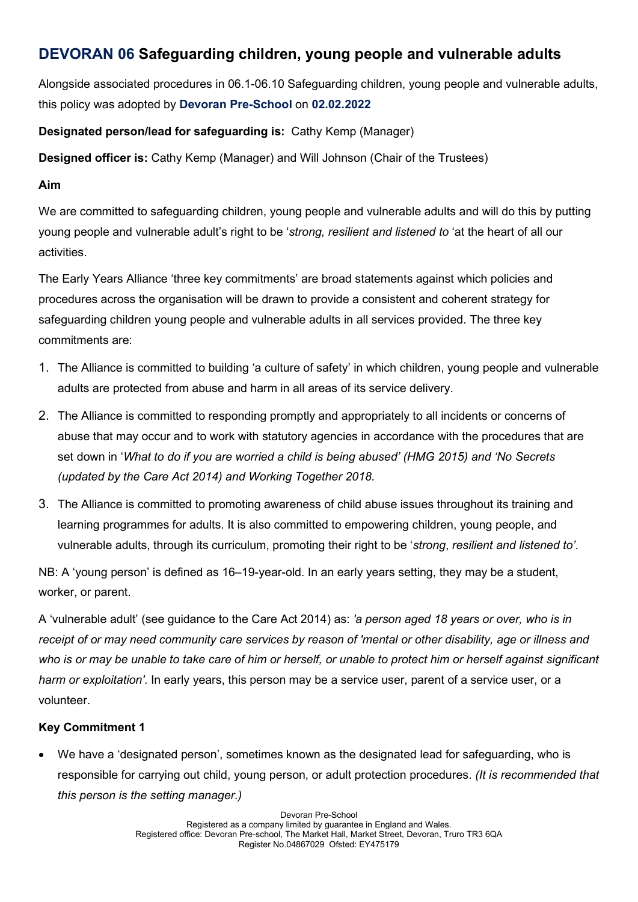# DEVORAN 06 Safeguarding children, young people and vulnerable adults

Alongside associated procedures in 06.1-06.10 Safeguarding children, young people and vulnerable adults, this policy was adopted by Devoran Pre-School on 02.02.2022

# Designated person/lead for safeguarding is: Cathy Kemp (Manager)

Designed officer is: Cathy Kemp (Manager) and Will Johnson (Chair of the Trustees)

#### Aim

We are committed to safeguarding children, young people and vulnerable adults and will do this by putting young people and vulnerable adult's right to be 'strong, resilient and listened to 'at the heart of all our activities.

The Early Years Alliance 'three key commitments' are broad statements against which policies and procedures across the organisation will be drawn to provide a consistent and coherent strategy for safeguarding children young people and vulnerable adults in all services provided. The three key commitments are:

- 1. The Alliance is committed to building 'a culture of safety' in which children, young people and vulnerable adults are protected from abuse and harm in all areas of its service delivery.
- 2. The Alliance is committed to responding promptly and appropriately to all incidents or concerns of abuse that may occur and to work with statutory agencies in accordance with the procedures that are set down in 'What to do if you are worried a child is being abused' (HMG 2015) and 'No Secrets (updated by the Care Act 2014) and Working Together 2018.
- 3. The Alliance is committed to promoting awareness of child abuse issues throughout its training and learning programmes for adults. It is also committed to empowering children, young people, and vulnerable adults, through its curriculum, promoting their right to be 'strong, resilient and listened to'.

NB: A 'young person' is defined as 16–19-year-old. In an early years setting, they may be a student, worker, or parent.

A 'vulnerable adult' (see guidance to the Care Act 2014) as: 'a person aged 18 years or over, who is in receipt of or may need community care services by reason of 'mental or other disability, age or illness and who is or may be unable to take care of him or herself, or unable to protect him or herself against significant harm or exploitation'. In early years, this person may be a service user, parent of a service user, or a volunteer.

# Key Commitment 1

 We have a 'designated person', sometimes known as the designated lead for safeguarding, who is responsible for carrying out child, young person, or adult protection procedures. (It is recommended that this person is the setting manager.)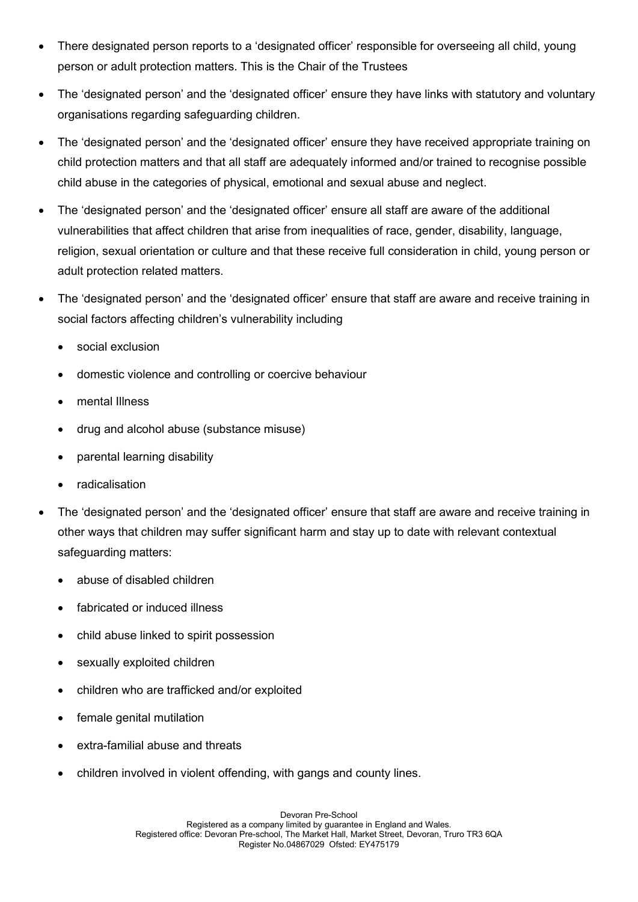- There designated person reports to a 'designated officer' responsible for overseeing all child, young person or adult protection matters. This is the Chair of the Trustees
- The 'designated person' and the 'designated officer' ensure they have links with statutory and voluntary organisations regarding safeguarding children.
- The 'designated person' and the 'designated officer' ensure they have received appropriate training on child protection matters and that all staff are adequately informed and/or trained to recognise possible child abuse in the categories of physical, emotional and sexual abuse and neglect.
- The 'designated person' and the 'designated officer' ensure all staff are aware of the additional vulnerabilities that affect children that arise from inequalities of race, gender, disability, language, religion, sexual orientation or culture and that these receive full consideration in child, young person or adult protection related matters.
- The 'designated person' and the 'designated officer' ensure that staff are aware and receive training in social factors affecting children's vulnerability including
	- social exclusion
	- domestic violence and controlling or coercive behaviour
	- mental Illness
	- drug and alcohol abuse (substance misuse)
	- parental learning disability
	- radicalisation
- The 'designated person' and the 'designated officer' ensure that staff are aware and receive training in other ways that children may suffer significant harm and stay up to date with relevant contextual safeguarding matters:
	- abuse of disabled children
	- fabricated or induced illness
	- child abuse linked to spirit possession
	- sexually exploited children
	- children who are trafficked and/or exploited
	- female genital mutilation
	- extra-familial abuse and threats
	- children involved in violent offending, with gangs and county lines.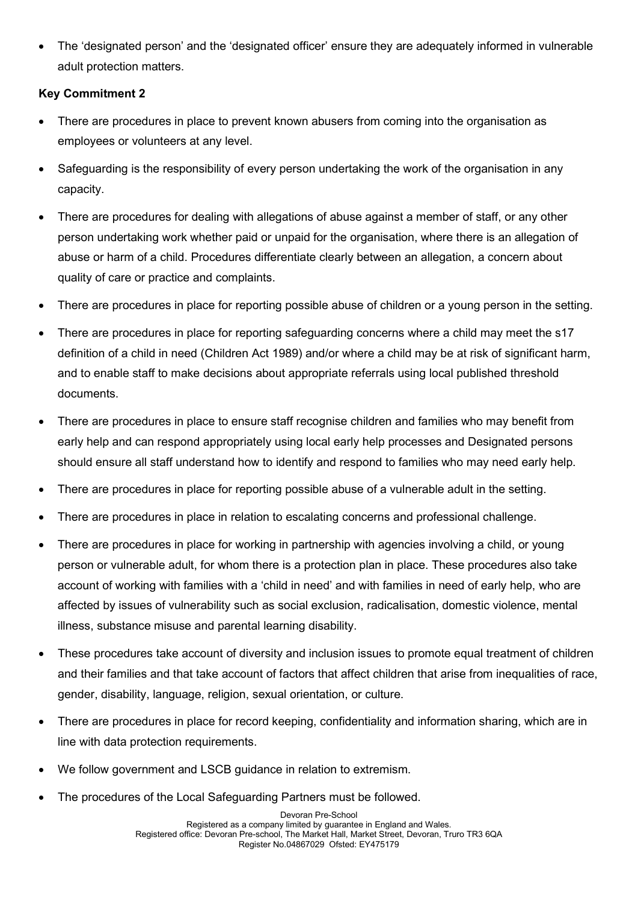The 'designated person' and the 'designated officer' ensure they are adequately informed in vulnerable adult protection matters.

### Key Commitment 2

- There are procedures in place to prevent known abusers from coming into the organisation as employees or volunteers at any level.
- Safeguarding is the responsibility of every person undertaking the work of the organisation in any capacity.
- There are procedures for dealing with allegations of abuse against a member of staff, or any other person undertaking work whether paid or unpaid for the organisation, where there is an allegation of abuse or harm of a child. Procedures differentiate clearly between an allegation, a concern about quality of care or practice and complaints.
- There are procedures in place for reporting possible abuse of children or a young person in the setting.
- There are procedures in place for reporting safeguarding concerns where a child may meet the s17 definition of a child in need (Children Act 1989) and/or where a child may be at risk of significant harm, and to enable staff to make decisions about appropriate referrals using local published threshold documents.
- There are procedures in place to ensure staff recognise children and families who may benefit from early help and can respond appropriately using local early help processes and Designated persons should ensure all staff understand how to identify and respond to families who may need early help.
- There are procedures in place for reporting possible abuse of a vulnerable adult in the setting.
- There are procedures in place in relation to escalating concerns and professional challenge.
- There are procedures in place for working in partnership with agencies involving a child, or young person or vulnerable adult, for whom there is a protection plan in place. These procedures also take account of working with families with a 'child in need' and with families in need of early help, who are affected by issues of vulnerability such as social exclusion, radicalisation, domestic violence, mental illness, substance misuse and parental learning disability.
- These procedures take account of diversity and inclusion issues to promote equal treatment of children and their families and that take account of factors that affect children that arise from inequalities of race, gender, disability, language, religion, sexual orientation, or culture.
- There are procedures in place for record keeping, confidentiality and information sharing, which are in line with data protection requirements.
- We follow government and LSCB guidance in relation to extremism.
- The procedures of the Local Safeguarding Partners must be followed.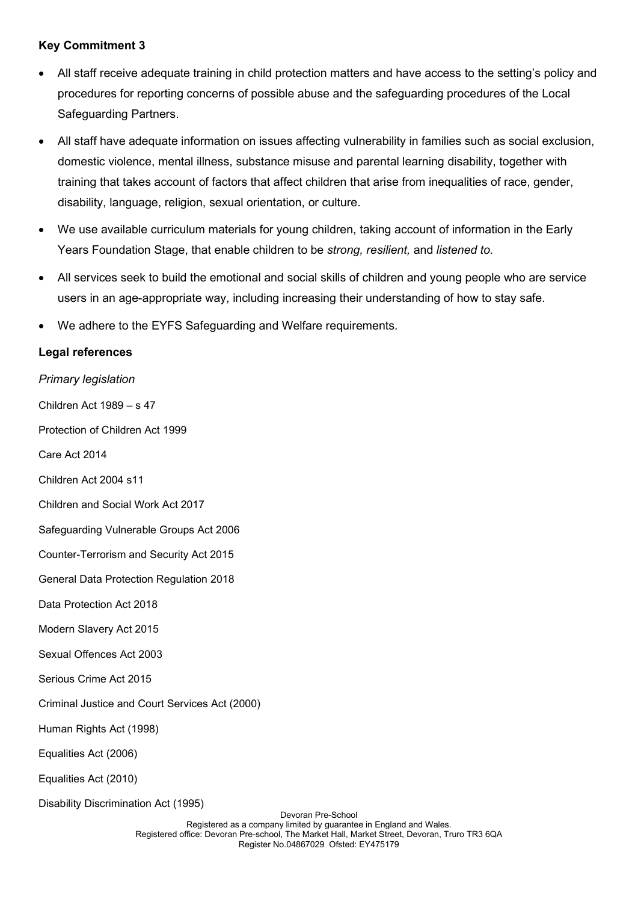#### Key Commitment 3

- All staff receive adequate training in child protection matters and have access to the setting's policy and procedures for reporting concerns of possible abuse and the safeguarding procedures of the Local Safeguarding Partners.
- All staff have adequate information on issues affecting vulnerability in families such as social exclusion, domestic violence, mental illness, substance misuse and parental learning disability, together with training that takes account of factors that affect children that arise from inequalities of race, gender, disability, language, religion, sexual orientation, or culture.
- We use available curriculum materials for young children, taking account of information in the Early Years Foundation Stage, that enable children to be *strong, resilient,* and *listened to.*
- All services seek to build the emotional and social skills of children and young people who are service users in an age-appropriate way, including increasing their understanding of how to stay safe.
- We adhere to the EYFS Safeguarding and Welfare requirements.

#### Legal references

Primary legislation

Children Act 1989 – s 47

Protection of Children Act 1999

Care Act 2014

Children Act 2004 s11

Children and Social Work Act 2017

Safeguarding Vulnerable Groups Act 2006

Counter-Terrorism and Security Act 2015

General Data Protection Regulation 2018

Data Protection Act 2018

- Modern Slavery Act 2015
- Sexual Offences Act 2003
- Serious Crime Act 2015

Criminal Justice and Court Services Act (2000)

Human Rights Act (1998)

Equalities Act (2006)

Equalities Act (2010)

Disability Discrimination Act (1995)

Devoran Pre-School Registered as a company limited by guarantee in England and Wales. Registered office: Devoran Pre-school, The Market Hall, Market Street, Devoran, Truro TR3 6QA Register No.04867029 Ofsted: EY475179